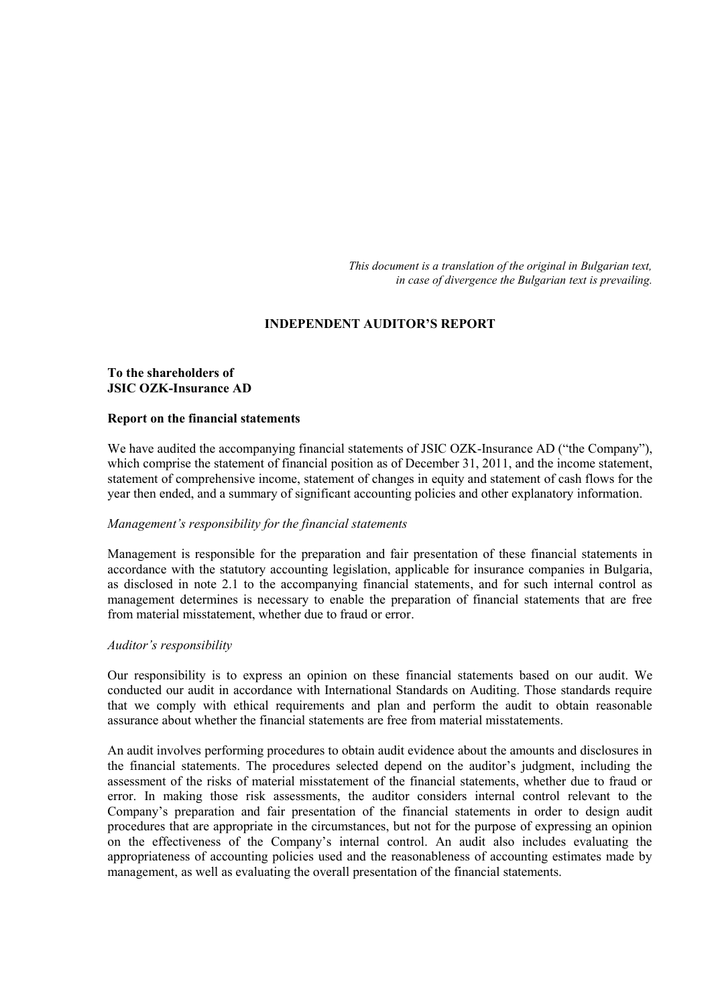*This document is a translation of the original in Bulgarian text, in case of divergence the Bulgarian text is prevailing.*

# **INDEPENDENT AUDITOR'S REPORT**

# **To the shareholders of JSIC OZK-Insurance AD**

#### **Report on the financial statements**

We have audited the accompanying financial statements of JSIC OZK-Insurance AD ("the Company"), which comprise the statement of financial position as of December 31, 2011, and the income statement, statement of comprehensive income, statement of changes in equity and statement of cash flows for the year then ended, and a summary of significant accounting policies and other explanatory information.

#### *Management's responsibility for the financial statements*

Management is responsible for the preparation and fair presentation of these financial statements in accordance with the statutory accounting legislation, applicable for insurance companies in Bulgaria, as disclosed in note 2.1 to the accompanying financial statements, and for such internal control as management determines is necessary to enable the preparation of financial statements that are free from material misstatement, whether due to fraud or error.

#### *Auditor's responsibility*

Our responsibility is to express an opinion on these financial statements based on our audit. We conducted our audit in accordance with International Standards on Auditing. Those standards require that we comply with ethical requirements and plan and perform the audit to obtain reasonable assurance about whether the financial statements are free from material misstatements.

An audit involves performing procedures to obtain audit evidence about the amounts and disclosures in the financial statements. The procedures selected depend on the auditor's judgment, including the assessment of the risks of material misstatement of the financial statements, whether due to fraud or error. In making those risk assessments, the auditor considers internal control relevant to the Company's preparation and fair presentation of the financial statements in order to design audit procedures that are appropriate in the circumstances, but not for the purpose of expressing an opinion on the effectiveness of the Company's internal control. An audit also includes evaluating the appropriateness of accounting policies used and the reasonableness of accounting estimates made by management, as well as evaluating the overall presentation of the financial statements.